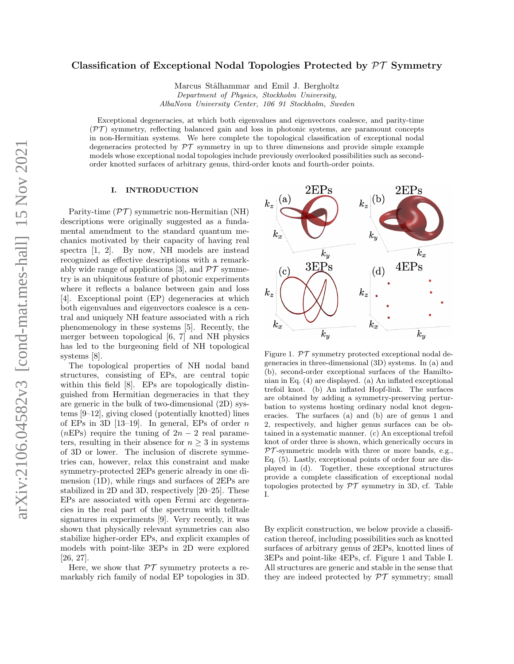# arXiv:2106.04582v3 [cond-mat.mes-hall] 15 Nov 2021arXiv:2106.04582v3 [cond-mat.mes-hall] 15 Nov 2021

# Classification of Exceptional Nodal Topologies Protected by  $\mathcal{PT}$  Symmetry

Marcus Stålhammar and Emil J. Bergholtz Department of Physics, Stockholm University, AlbaNova University Center, 106 91 Stockholm, Sweden

Exceptional degeneracies, at which both eigenvalues and eigenvectors coalesce, and parity-time  $(\mathcal{PT})$  symmetry, reflecting balanced gain and loss in photonic systems, are paramount concepts in non-Hermitian systems. We here complete the topological classification of exceptional nodal degeneracies protected by  $\mathcal{PT}$  symmetry in up to three dimensions and provide simple example models whose exceptional nodal topologies include previously overlooked possibilities such as secondorder knotted surfaces of arbitrary genus, third-order knots and fourth-order points.

### I. INTRODUCTION

Parity-time  $(\mathcal{PT})$  symmetric non-Hermitian (NH) descriptions were originally suggested as a fundamental amendment to the standard quantum mechanics motivated by their capacity of having real spectra [\[1,](#page-4-0) [2\]](#page-4-1). By now, NH models are instead recognized as effective descriptions with a remark-ably wide range of applications [\[3\]](#page-4-2), and  $\mathcal{PT}$  symmetry is an ubiquitous feature of photonic experiments where it reflects a balance between gain and loss [\[4\]](#page-4-3). Exceptional point (EP) degeneracies at which both eigenvalues and eigenvectors coalesce is a central and uniquely NH feature associated with a rich phenomenology in these systems [\[5\]](#page-4-4). Recently, the merger between topological [\[6,](#page-4-5) [7\]](#page-4-6) and NH physics has led to the burgeoning field of NH topological systems [\[8\]](#page-4-7).

The topological properties of NH nodal band structures, consisting of EPs, are central topic within this field [\[8\]](#page-4-7). EPs are topologically distinguished from Hermitian degeneracies in that they are generic in the bulk of two-dimensional (2D) systems [\[9–](#page-4-8)[12\]](#page-4-9), giving closed (potentially knotted) lines of EPs in 3D  $[13-19]$  $[13-19]$ . In general, EPs of order n (nEPs) require the tuning of  $2n-2$  real parameters, resulting in their absence for  $n \geq 3$  in systems of 3D or lower. The inclusion of discrete symmetries can, however, relax this constraint and make symmetry-protected 2EPs generic already in one dimension (1D), while rings and surfaces of 2EPs are stabilized in 2D and 3D, respectively [\[20–](#page-4-12)[25\]](#page-4-13). These EPs are associated with open Fermi arc degeneracies in the real part of the spectrum with telltale signatures in experiments [\[9\]](#page-4-8). Very recently, it was shown that physically relevant symmetries can also stabilize higher-order EPs, and explicit examples of models with point-like 3EPs in 2D were explored [\[26,](#page-5-0) [27\]](#page-5-1).

Here, we show that  $\mathcal{PT}$  symmetry protects a remarkably rich family of nodal EP topologies in 3D.



<span id="page-0-0"></span>Figure 1.  $\mathcal{PT}$  symmetry protected exceptional nodal degeneracies in three-dimensional (3D) systems. In (a) and (b), second-order exceptional surfaces of the Hamiltonian in Eq. [\(4\)](#page-1-0) are displayed. (a) An inflated exceptional trefoil knot. (b) An inflated Hopf-link. The surfaces are obtained by adding a symmetry-preserving perturbation to systems hosting ordinary nodal knot degeneracies. The surfaces (a) and (b) are of genus 1 and 2, respectively, and higher genus surfaces can be obtained in a systematic manner. (c) An exceptional trefoil knot of order three is shown, which generically occurs in  $PT$ -symmetric models with three or more bands, e.g., Eq. [\(5\)](#page-2-0). Lastly, exceptional points of order four are displayed in (d). Together, these exceptional structures provide a complete classification of exceptional nodal topologies protected by  $\mathcal{PT}$  symmetry in 3D, cf. Table [I.](#page-1-1)

By explicit construction, we below provide a classification thereof, including possibilities such as knotted surfaces of arbitrary genus of 2EPs, knotted lines of 3EPs and point-like 4EPs, cf. Figure [1](#page-0-0) and Table [I.](#page-1-1) All structures are generic and stable in the sense that they are indeed protected by  $\mathcal{PT}$  symmetry; small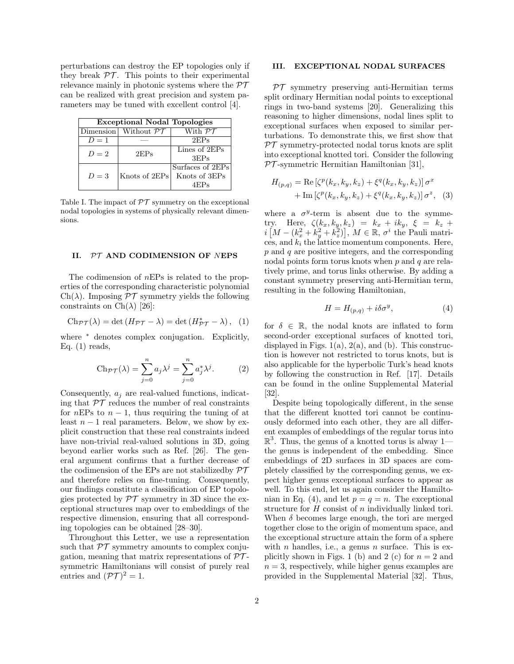perturbations can destroy the EP topologies only if they break  $\mathcal{PT}$ . This points to their experimental relevance mainly in photonic systems where the  $\mathcal{PT}$ can be realized with great precision and system parameters may be tuned with excellent control [\[4\]](#page-4-3).

| <b>Exceptional Nodal Topologies</b> |                                  |                               |
|-------------------------------------|----------------------------------|-------------------------------|
|                                     | Dimension Without $\mathcal{PT}$ | With $\mathcal{P}\mathcal{T}$ |
| $D=1$                               |                                  | 2EPs                          |
| $D=2$                               | 2EPs                             | Lines of 2EPs                 |
|                                     |                                  | 3EPs                          |
|                                     |                                  | Surfaces of 2EPs              |
| $D=3$                               | Knots of 2EPs                    | Knots of 3EPs                 |
|                                     |                                  | 4EPs                          |

<span id="page-1-1"></span>Table I. The impact of  $\mathcal{PT}$  symmetry on the exceptional nodal topologies in systems of physically relevant dimensions.

### II. PT AND CODIMENSION OF NEPS

The codimension of nEPs is related to the properties of the corresponding characteristic polynomial  $Ch(\lambda)$ . Imposing  $\mathcal{PT}$  symmetry yields the following constraints on  $\mathrm{Ch}(\lambda)$  [\[26\]](#page-5-0):

$$
\mathrm{Ch}_{\mathcal{PT}}(\lambda)=\det\left(H_{\mathcal{PT}}-\lambda\right)=\det\left(H_{\mathcal{PT}}^*-\lambda\right),\ \ (1)
$$

where  $*$  denotes complex conjugation. Explicitly, Eq.  $(1)$  reads,

$$
Ch_{\mathcal{PT}}(\lambda) = \sum_{j=0}^{n} a_j \lambda^j = \sum_{j=0}^{n} a_j^* \lambda^j.
$$
 (2)

Consequently,  $a_i$  are real-valued functions, indicating that  $\mathcal{PT}$  reduces the number of real constraints for nEPs to  $n-1$ , thus requiring the tuning of at least  $n-1$  real parameters. Below, we show by explicit construction that these real constraints indeed have non-trivial real-valued solutions in 3D, going beyond earlier works such as Ref. [\[26\]](#page-5-0). The general argument confirms that a further decrease of the codimension of the EPs are not stabilized by  $\mathcal{PT}$ and therefore relies on fine-tuning. Consequently, our findings constitute a classification of EP topologies protected by  $\mathcal{PT}$  symmetry in 3D since the exceptional structures map over to embeddings of the respective dimension, ensuring that all corresponding topologies can be obtained [\[28–](#page-5-2)[30\]](#page-5-3).

Throughout this Letter, we use a representation such that  $\mathcal{PT}$  symmetry amounts to complex conjugation, meaning that matrix representations of  $\mathcal{PT}$ symmetric Hamiltonians will consist of purely real entries and  $({\cal PT})^2 = 1$ .

### III. EXCEPTIONAL NODAL SURFACES

 $PT$  symmetry preserving anti-Hermitian terms split ordinary Hermitian nodal points to exceptional rings in two-band systems [\[20\]](#page-4-12). Generalizing this reasoning to higher dimensions, nodal lines split to exceptional surfaces when exposed to similar perturbations. To demonstrate this, we first show that  $PT$  symmetry-protected nodal torus knots are split into exceptional knotted tori. Consider the following  $PT$ -symmetric Hermitian Hamiltonian [\[31\]](#page-5-4),

$$
H_{(p,q)} = \text{Re} \left[ \zeta^{p}(k_x, k_y, k_z) + \xi^{q}(k_x, k_y, k_z) \right] \sigma^{x}
$$
  
+ 
$$
\text{Im} \left[ \zeta^{p}(k_x, k_y, k_z) + \xi^{q}(k_x, k_y, k_z) \right] \sigma^{z}, \quad (3)
$$

where a  $\sigma^y$ -term is absent due to the symmetry. Here,  $\zeta(k_x, k_y, k_z) = k_x + ik_y, \xi = k_z +$  $i\left[M-(k_x^2+k_y^2+k_z^2)\right], M \in \mathbb{R}, \sigma^i$  the Pauli matrices, and  $k_i$  the lattice momentum components. Here,  $p$  and  $q$  are positive integers, and the corresponding nodal points form torus knots when  $p$  and  $q$  are relatively prime, and torus links otherwise. By adding a constant symmetry preserving anti-Hermitian term, resulting in the following Hamiltonian,

<span id="page-1-0"></span>
$$
H = H_{(p,q)} + i\delta\sigma^y,\tag{4}
$$

<span id="page-1-2"></span>for  $\delta \in \mathbb{R}$ , the nodal knots are inflated to form second-order exceptional surfaces of knotted tori, displayed in Figs.  $1(a)$  $1(a)$ ,  $2(a)$  $2(a)$ , and (b). This construction is however not restricted to torus knots, but is also applicable for the hyperbolic Turk's head knots by following the construction in Ref. [\[17\]](#page-4-14). Details can be found in the online Supplemental Material [\[32\]](#page-5-5).

Despite being topologically different, in the sense that the different knotted tori cannot be continuously deformed into each other, they are all different examples of embeddings of the regular torus into  $\mathbb{R}^3$ . Thus, the genus of a knotted torus is alway 1 the genus is independent of the embedding. Since embeddings of 2D surfaces in 3D spaces are completely classified by the corresponding genus, we expect higher genus exceptional surfaces to appear as well. To this end, let us again consider the Hamilto-nian in Eq. [\(4\)](#page-1-0), and let  $p = q = n$ . The exceptional structure for H consist of n individually linked tori. When  $\delta$  becomes large enough, the tori are merged together close to the origin of momentum space, and the exceptional structure attain the form of a sphere with *n* handles, i.e., a genus *n* surface. This is ex-plicitly shown in Figs. [1](#page-0-0) (b) and [2](#page-2-1) (c) for  $n = 2$  and  $n = 3$ , respectively, while higher genus examples are provided in the Supplemental Material [\[32\]](#page-5-5). Thus,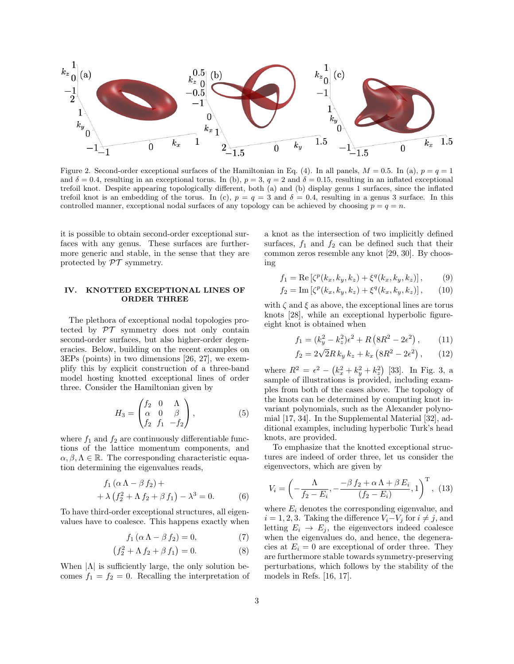<span id="page-2-1"></span>Figure 2. Second-order exceptional surfaces of the Hamiltonian in Eq. [\(4\)](#page-1-0). In all panels,  $M = 0.5$ . In (a),  $p = q = 1$ and  $\delta = 0.4$ , resulting in an exceptional torus. In (b),  $p = 3$ ,  $q = 2$  and  $\delta = 0.15$ , resulting in an inflated exceptional trefoil knot. Despite appearing topologically different, both (a) and (b) display genus 1 surfaces, since the inflated trefoil knot is an embedding of the torus. In (c),  $p = q = 3$  and  $\delta = 0.4$ , resulting in a genus 3 surface. In this controlled manner, exceptional nodal surfaces of any topology can be achieved by choosing  $p = q = n$ .

it is possible to obtain second-order exceptional surfaces with any genus. These surfaces are furthermore generic and stable, in the sense that they are protected by  $\mathcal{PT}$  symmetry.

## IV. KNOTTED EXCEPTIONAL LINES OF ORDER THREE

The plethora of exceptional nodal topologies protected by  $\mathcal{PT}$  symmetry does not only contain second-order surfaces, but also higher-order degeneracies. Below, building on the recent examples on 3EPs (points) in two dimensions [\[26,](#page-5-0) [27\]](#page-5-1), we exemplify this by explicit construction of a three-band model hosting knotted exceptional lines of order three. Consider the Hamiltonian given by

<span id="page-2-0"></span>
$$
H_3 = \begin{pmatrix} f_2 & 0 & \Lambda \\ \alpha & 0 & \beta \\ f_2 & f_1 & -f_2 \end{pmatrix},\tag{5}
$$

where  $f_1$  and  $f_2$  are continuously differentiable functions of the lattice momentum components, and  $\alpha, \beta, \Lambda \in \mathbb{R}$ . The corresponding characteristic equation determining the eigenvalues reads,

$$
f_1 (\alpha \Lambda - \beta f_2) + + \lambda (f_2^2 + \Lambda f_2 + \beta f_1) - \lambda^3 = 0.
$$
 (6)

To have third-order exceptional structures, all eigenvalues have to coalesce. This happens exactly when

$$
f_1(\alpha \Lambda - \beta f_2) = 0,\t(7)
$$

$$
(f_2^2 + \Lambda f_2 + \beta f_1) = 0.
$$
 (8)

When  $|\Lambda|$  is sufficiently large, the only solution becomes  $f_1 = f_2 = 0$ . Recalling the interpretation of a knot as the intersection of two implicitly defined surfaces,  $f_1$  and  $f_2$  can be defined such that their common zeros resemble any knot [\[29,](#page-5-6) [30\]](#page-5-3). By choosing

$$
f_1 = \text{Re} \left[ \zeta^p(k_x, k_y, k_z) + \xi^q(k_x, k_y, k_z) \right],\tag{9}
$$

$$
f_2 = \text{Im} \left[ \zeta^p(k_x, k_y, k_z) + \xi^q(k_x, k_y, k_z) \right], \qquad (10)
$$

with  $\zeta$  and  $\xi$  as above, the exceptional lines are torus knots [\[28\]](#page-5-2), while an exceptional hyperbolic figureeight knot is obtained when

<span id="page-2-5"></span><span id="page-2-4"></span><span id="page-2-3"></span><span id="page-2-2"></span>
$$
f_1 = (k_y^2 - k_z^2)\epsilon^2 + R\left(8R^2 - 2\epsilon^2\right),\qquad(11)
$$

$$
f_2 = 2\sqrt{2}R k_y k_z + k_x (8R^2 - 2\epsilon^2),
$$
 (12)

where  $R^2 = \epsilon^2 - (k_x^2 + k_y^2 + k_z^2)$  [\[33\]](#page-5-7). In Fig. [3,](#page-3-0) a sample of illustrations is provided, including examples from both of the cases above. The topology of the knots can be determined by computing knot invariant polynomials, such as the Alexander polynomial [\[17,](#page-4-14) [34\]](#page-5-8). In the Supplemental Material [\[32\]](#page-5-5), additional examples, including hyperbolic Turk's head knots, are provided.

To emphasize that the knotted exceptional structures are indeed of order three, let us consider the eigenvectors, which are given by

$$
V_i = \left(-\frac{\Lambda}{f_2 - E_i}, -\frac{-\beta f_2 + \alpha \Lambda + \beta E_i}{(f_2 - E_i)}, 1\right)^{\mathrm{T}}, (13)
$$

where  $E_i$  denotes the corresponding eigenvalue, and  $i = 1, 2, 3$ . Taking the difference  $V_i - V_j$  for  $i \neq j$ , and letting  $E_i \rightarrow E_j$ , the eigenvectors indeed coalesce when the eigenvalues do, and hence, the degeneracies at  $E_i = 0$  are exceptional of order three. They are furthermore stable towards symmetry-preserving perturbations, which follows by the stability of the models in Refs. [\[16,](#page-4-15) [17\]](#page-4-14).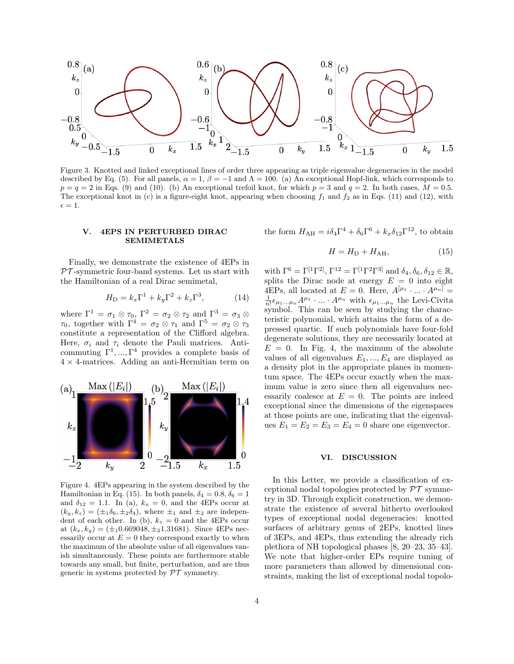

<span id="page-3-0"></span>Figure 3. Knotted and linked exceptional lines of order three appearing as triple eigenvalue degeneracies in the model described by Eq. [\(5\)](#page-2-0). For all panels,  $\alpha = 1$ ,  $\beta = -1$  and  $\Lambda = 100$ . (a) An exceptional Hopf-link, which corresponds to  $p = q = 2$  in Eqs. [\(9\)](#page-2-2) and [\(10\)](#page-2-3). (b) An exceptional trefoil knot, for which  $p = 3$  and  $q = 2$ . In both cases,  $M = 0.5$ . The exceptional knot in (c) is a figure-eight knot, appearing when choosing  $f_1$  and  $f_2$  as in Eqs. [\(11\)](#page-2-4) and [\(12\)](#page-2-5), with  $\epsilon = 1.$ 

### V. 4EPS IN PERTURBED DIRAC SEMIMETALS

Finally, we demonstrate the existence of 4EPs in  $PT$ -symmetric four-band systems. Let us start with the Hamiltonian of a real Dirac semimetal,

$$
H_{\rm D} = k_x \Gamma^1 + k_y \Gamma^2 + k_z \Gamma^3, \tag{14}
$$

where  $\Gamma^1 = \sigma_1 \otimes \tau_0$ ,  $\Gamma^2 = \sigma_2 \otimes \tau_2$  and  $\Gamma^3 = \sigma_3 \otimes \tau_1$  $\tau_0$ , together with  $\Gamma^4 = \sigma_2 \otimes \tau_1$  and  $\Gamma^5 = \sigma_2 \otimes \tau_3$ constitute a representation of the Clifford algebra. Here,  $\sigma_i$  and  $\tau_i$  denote the Pauli matrices. Anticommuting  $\Gamma^1, ..., \Gamma^4$  provides a complete basis of  $4 \times 4$ -matrices. Adding an anti-Hermitian term on



<span id="page-3-2"></span>Figure 4. 4EPs appearing in the system described by the Hamiltonian in Eq. [\(15\)](#page-3-1). In both panels,  $\delta_4 = 0.8, \delta_6 = 1$ and  $\delta_{12} = 1.1$ . In (a),  $k_x = 0$ , and the 4EPs occur at  $(k_y, k_z) = (\pm_1 \delta_6, \pm_2 \delta_4)$ , where  $\pm_1$  and  $\pm_2$  are independent of each other. In (b),  $k_z = 0$  and the 4EPs occur at  $(k_x, k_y) = (\pm_1 0.669048, \pm_2 1.31681)$ . Since 4EPs necessarily occur at  $E = 0$  they correspond exactly to when the maximum of the absolute value of all eigenvalues vanish simultaneously. These points are furthermore stable towards any small, but finite, perturbation, and are thus generic in systems protected by  $\mathcal{PT}$  symmetry.

the form 
$$
H_{\text{AH}} = i\delta_4 \Gamma^4 + \delta_6 \Gamma^6 + k_x \delta_{12} \Gamma^{12}
$$
, to obtain

<span id="page-3-1"></span>
$$
H = H_{\rm D} + H_{\rm AH},\tag{15}
$$

with  $\Gamma^6 = \Gamma^{[1} \Gamma^{2]}, \Gamma^{12} = \Gamma^{[1} \Gamma^{2} \Gamma^{3]}$  and  $\delta_4, \delta_6, \delta_{12} \in \mathbb{R}$ , splits the Dirac node at energy  $E = 0$  into eight 4EPs, all located at  $E = 0$ . Here,  $A^{[\mu_1} \cdot ... \cdot A^{\mu_n]} =$  $\frac{1}{n!} \epsilon_{\mu_1...\mu_n} A^{\mu_1} \cdot ... \cdot A^{\mu_n}$  with  $\epsilon_{\mu_1...\mu_n}$  the Levi-Civita symbol. This can be seen by studying the characteristic polynomial, which attains the form of a depressed quartic. If such polynomials have four-fold degenerate solutions, they are necessarily located at  $E = 0$ . In Fig. [4,](#page-3-2) the maximum of the absolute values of all eigenvalues  $E_1, ..., E_4$  are displayed as a density plot in the appropriate planes in momentum space. The 4EPs occur exactly when the maximum value is zero since then all eigenvalues necessarily coalesce at  $E = 0$ . The points are indeed exceptional since the dimensions of the eigenspaces at those points are one, indicating that the eigenvalues  $E_1 = E_2 = E_3 = E_4 = 0$  share one eigenvector.

### VI. DISCUSSION

In this Letter, we provide a classification of exceptional nodal topologies protected by  $\mathcal{PT}$  symmetry in 3D. Through explicit construction, we demonstrate the existence of several hitherto overlooked types of exceptional nodal degeneracies: knotted surfaces of arbitrary genus of 2EPs, knotted lines of 3EPs, and 4EPs, thus extending the already rich plethora of NH topological phases [\[8,](#page-4-7) [20–](#page-4-12)[23,](#page-4-16) [35–](#page-5-9)[43\]](#page-5-10). We note that higher-order EPs require tuning of more parameters than allowed by dimensional constraints, making the list of exceptional nodal topolo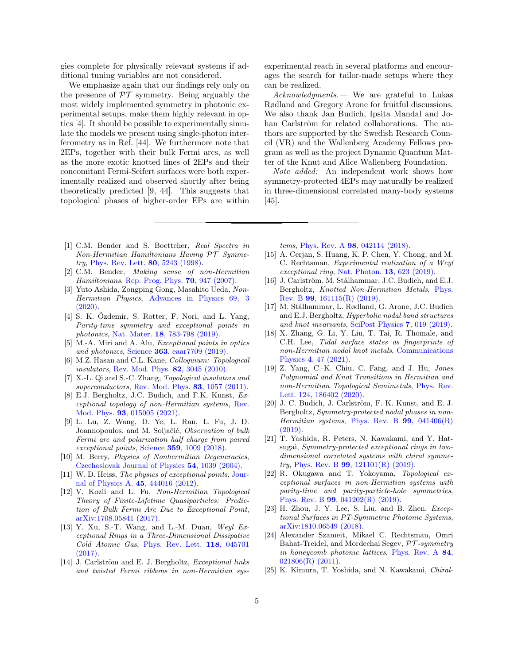gies complete for physically relevant systems if additional tuning variables are not considered.

We emphasize again that our findings rely only on the presence of  $\mathcal{PT}$  symmetry. Being arguably the most widely implemented symmetry in photonic experimental setups, make them highly relevant in optics [\[4\]](#page-4-3). It should be possible to experimentally simulate the models we present using single-photon interferometry as in Ref. [\[44\]](#page-5-11). We furthermore note that 2EPs, together with their bulk Fermi arcs, as well as the more exotic knotted lines of 2EPs and their concomitant Fermi-Seifert surfaces were both experimentally realized and observed shortly after being theoretically predicted [\[9,](#page-4-8) [44\]](#page-5-11). This suggests that topological phases of higher-order EPs are within

- <span id="page-4-0"></span>[1] C.M. Bender and S. Boettcher, Real Spectra in Non-Hermitian Hamiltonians Having PT Symmetry, [Phys. Rev. Lett.](https://journals.aps.org/prl/abstract/10.1103/PhysRevLett.80.5243) 80, 5243 (1998).
- <span id="page-4-1"></span>[2] C.M. Bender, Making sense of non-Hermitian Hamiltonians, [Rep. Prog. Phys.](http://iopscience.iop.org/article/10.1088/0034-4885/70/6/R03/meta) 70, 947 (2007).
- <span id="page-4-2"></span>[3] Yuto Ashida, Zongping Gong, Masahito Ueda, Non-Hermitian Physics, [Advances in Physics 69, 3](https://dx.doi.org/10.1080/00018732.2021.1876991) [\(2020\).](https://dx.doi.org/10.1080/00018732.2021.1876991)
- <span id="page-4-3"></span> $[4]$  S. K. Özdemir, S. Rotter, F. Nori, and L. Yang, Parity-time symmetry and exceptional points in photonics, Nat. Mater. 18[, 783-798 \(2019\).](https://www.nature.com/articles/s41563-019-0304-9)
- <span id="page-4-4"></span>[5] M.-A. Miri and A. Alu, Exceptional points in optics and photonics, Science 363[, eaar7709 \(2019\).](https://science.sciencemag.org/content/363/6422/eaar7709)
- <span id="page-4-5"></span>[6] M.Z. Hasan and C.L. Kane, Colloquium: Topological insulators, [Rev. Mod. Phys.](https://journals.aps.org/rmp/abstract/10.1103/RevModPhys.82.3045) **82**, 3045 (2010).
- <span id="page-4-6"></span>[7] X.-L. Qi and S.-C. Zhang, Topological insulators and superconductors, [Rev. Mod. Phys.](https://journals.aps.org/rmp/abstract/10.1103/RevModPhys.83.1057) 83, 1057 (2011).
- <span id="page-4-7"></span>[8] E.J. Bergholtz, J.C. Budich, and F.K. Kunst, Exceptional topology of non-Hermitian systems, [Rev.](https://journals.aps.org/rmp/abstract/10.1103/RevModPhys.93.015005) Mod. Phys. 93[, 015005 \(2021\).](https://journals.aps.org/rmp/abstract/10.1103/RevModPhys.93.015005)
- <span id="page-4-8"></span>[9] L. Lu, Z. Wang, D. Ye, L. Ran, L. Fu, J. D. Joannopoulos, and M. Soljačić, *Observation of bulk* Fermi arc and polarization half charge from paired exceptional points, Science 359[, 1009 \(2018\).](https://science.sciencemag.org/content/359/6379/1009.abstract)
- [10] M. Berry, Physics of Nonhermitian Degeneracies, [Czechoslovak Journal of Physics](https://link.springer.com/article/10.1023%2FB%3ACJOP.0000044002.05657.04) 54, 1039 (2004).
- [11] W. D. Heiss, *The physics of exceptional points*, **[Jour](http://adsabs.harvard.edu/abs/2012JPhA...45R4016H)**[nal of Physics A.](http://adsabs.harvard.edu/abs/2012JPhA...45R4016H) 45, 444016 (2012).
- <span id="page-4-9"></span>[12] V. Kozii and L. Fu, Non-Hermitian Topological Theory of Finite-Lifetime Quasiparticles: Prediction of Bulk Fermi Arc Due to Exceptional Point, [arXiv:1708.05841 \(2017\).](https://arxiv.org/abs/1708.05841)
- <span id="page-4-10"></span>[13] Y. Xu, S.-T. Wang, and L.-M. Duan, Weyl  $Ex$ ceptional Rings in a Three-Dimensional Dissipative Cold Atomic Gas, [Phys. Rev. Lett.](https://doi.org/10.1103/PhysRevLett.118.045701) 118, 045701 [\(2017\).](https://doi.org/10.1103/PhysRevLett.118.045701)
- [14] J. Carlström and E. J. Bergholtz, *Exceptional links* and twisted Fermi ribbons in non-Hermitian sys-

experimental reach in several platforms and encourages the search for tailor-made setups where they can be realized.

Acknowledgments.— We are grateful to Lukas Rødland and Gregory Arone for fruitful discussions. We also thank Jan Budich, Ipsita Mandal and Johan Carlström for related collaborations. The authors are supported by the Swedish Research Council (VR) and the Wallenberg Academy Fellows program as well as the project Dynamic Quantum Matter of the Knut and Alice Wallenberg Foundation.

Note added: An independent work shows how symmetry-protected 4EPs may naturally be realized in three-dimensional correlated many-body systems  $|45|$ .

tems, Phys. Rev. A 98[, 042114 \(2018\).](https://journals.aps.org/pra/abstract/10.1103/PhysRevA.98.042114)

- [15] A. Cerjan, S. Huang, K. P. Chen, Y. Chong, and M. C. Rechtsman, Experimental realization of a Weyl exceptional ring, [Nat. Photon.](https://www.nature.com/articles/s41566-019-0453-z) 13, 623 (2019).
- <span id="page-4-15"></span>[16] J. Carlström, M. Stålhammar, J.C. Budich, and E.J. Bergholtz, Knotted Non-Hermitian Metals, [Phys.](https://journals.aps.org/prb/abstract/10.1103/PhysRevB.99.161115) Rev. B 99[, 161115\(R\) \(2019\).](https://journals.aps.org/prb/abstract/10.1103/PhysRevB.99.161115)
- <span id="page-4-14"></span>[17] M. Stålhammar, L. Rødland, G. Arone, J.C. Budich and E.J. Bergholtz, Hyperbolic nodal band structures and knot invariants, [SciPost Physics](https://www.nature.com/articles/s42005-021-00535-1) 7, 019 (2019).
- [18] X. Zhang, G. Li, Y. Liu, T. Tai, R. Thomale, and C.H. Lee, Tidal surface states as fingerprints of non-Hermitian nodal knot metals, [Communications](https://www.nature.com/articles/s42005-021-00535-1) Physics 4[, 47 \(2021\).](https://www.nature.com/articles/s42005-021-00535-1)
- <span id="page-4-11"></span>[19] Z. Yang, C.-K. Chiu, C. Fang, and J. Hu, Jones Polynomial and Knot Transitions in Hermitian and non-Hermitian Topological Semimetals, [Phys. Rev.](https://journals.aps.org/prl/abstract/10.1103/PhysRevLett.124.186402) [Lett. 124, 186402 \(2020\).](https://journals.aps.org/prl/abstract/10.1103/PhysRevLett.124.186402)
- <span id="page-4-12"></span> $[20]$  J. C. Budich, J. Carlström, F. K. Kunst, and E. J. Bergholtz, Symmetry-protected nodal phases in non-Hermitian systems, [Phys. Rev. B](https://journals.aps.org/prb/abstract/10.1103/PhysRevB.99.041406)  $99, 041406(R)$ [\(2019\).](https://journals.aps.org/prb/abstract/10.1103/PhysRevB.99.041406)
- [21] T. Yoshida, R. Peters, N. Kawakami, and Y. Hatsugai, Symmetry-protected exceptional rings in twodimensional correlated systems with chiral symme- $try, Phys. Rev. B 99, 121101(R) (2019).$  $try, Phys. Rev. B 99, 121101(R) (2019).$
- [22] R. Okugawa and T. Yokoyama, Topological exceptional surfaces in non-Hermitian systems with parity-time and parity-particle-hole symmetries, Phys. Rev. B 99[, 041202\(R\) \(2019\).](https://journals.aps.org/prb/abstract/10.1103/PhysRevB.99.041202)
- <span id="page-4-16"></span>[23] H. Zhou, J. Y. Lee, S. Liu, and B. Zhen, Exceptional Surfaces in PT-Symmetric Photonic Systems, [arXiv:1810.06549 \(2018\).](https://arxiv.org/abs/1810.06549)
- [24] Alexander Szameit, Mikael C. Rechtsman, Omri Bahat-Treidel, and Mordechai Segev, PT -symmetry in honeycomb photonic lattices, [Phys. Rev. A](https://journals.aps.org/pra/abstract/10.1103/PhysRevA.84.021806) 84, [021806\(R\) \(2011\).](https://journals.aps.org/pra/abstract/10.1103/PhysRevA.84.021806)
- <span id="page-4-13"></span>[25] K. Kimura, T. Yoshida, and N. Kawakami, Chiral-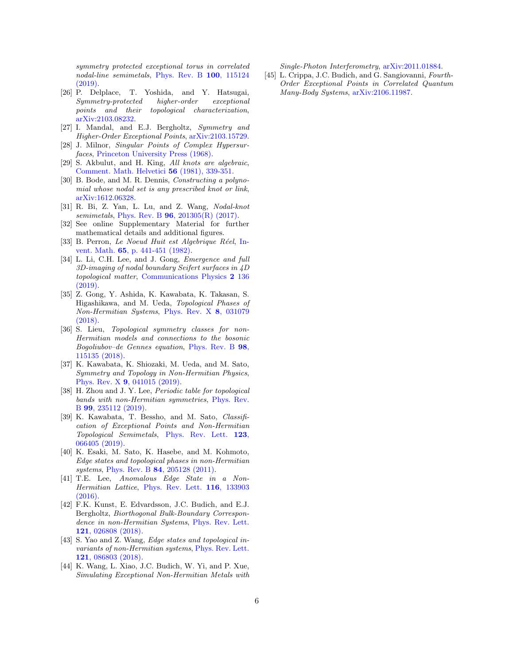symmetry protected exceptional torus in correlated nodal-line semimetals, [Phys. Rev. B](https://journals.aps.org/prb/abstract/10.1103/PhysRevB.100.115124) 100, 115124 [\(2019\).](https://journals.aps.org/prb/abstract/10.1103/PhysRevB.100.115124)

- <span id="page-5-0"></span>[26] P. Delplace, T. Yoshida, and Y. Hatsugai, Symmetry-protected higher-order exceptional points and their topological characterization, [arXiv:2103.08232.](https://arxiv.org/abs/2103.08232)
- <span id="page-5-1"></span>[27] I. Mandal, and E.J. Bergholtz, Symmetry and Higher-Order Exceptional Points, [arXiv:2103.15729.](https://arxiv.org/abs/2103.15729)
- <span id="page-5-2"></span>[28] J. Milnor, Singular Points of Complex Hypersurfaces, [Princeton University Press \(1968\).](https://www.cambridge.org/core/journals/proceedings-of-the-edinburgh-mathematical-society/article/john-milnor-singular-points-of-complex-hypersurfaces-annals-of-mathematics-studies-no-61-princeton-university-press-london-oxford-university-press-1969-30s/E3F3A9C0FF2BCF2D7556AFA185C77BFA)
- <span id="page-5-6"></span>[29] S. Akbulut, and H. King, All knots are algebraic, [Comment. Math. Helvetici](https://doi.org/10.1007/BF02566217) 56 (1981), 339-351.
- <span id="page-5-3"></span>[30] B. Bode, and M. R. Dennis, Constructing a polynomial whose nodal set is any prescribed knot or link, [arXiv:1612.06328.](https://arxiv.org/abs/1612.06328)
- <span id="page-5-4"></span>[31] R. Bi, Z. Yan, L. Lu, and Z. Wang, Nodal-knot semimetals, Phys. Rev. B 96[, 201305\(R\) \(2017\).](https://journals.aps.org/prb/abstract/10.1103/PhysRevB.96.201305)
- <span id="page-5-5"></span>[32] See online Supplementary Material for further mathematical details and additional figures.
- <span id="page-5-7"></span>[33] B. Perron, Le Noeud Huit est Algebrique Réel, [In](https://link.springer.com/article/10.1007/BF01396628)vent. Math. 65[, p. 441-451 \(1982\).](https://link.springer.com/article/10.1007/BF01396628)
- <span id="page-5-8"></span>[34] L. Li, C.H. Lee, and J. Gong, *Emergence and full* 3D-imaging of nodal boundary Seifert surfaces in 4D topological matter, [Communications Physics](https://www.nature.com/articles/s42005-019-0235-4) 2 136 [\(2019\).](https://www.nature.com/articles/s42005-019-0235-4)
- <span id="page-5-9"></span>[35] Z. Gong, Y. Ashida, K. Kawabata, K. Takasan, S. Higashikawa, and M. Ueda, Topological Phases of Non-Hermitian Systems, [Phys. Rev. X](https://journals.aps.org/prx/abstract/10.1103/PhysRevX.8.031079) 8, 031079 [\(2018\).](https://journals.aps.org/prx/abstract/10.1103/PhysRevX.8.031079)
- [36] S. Lieu, *Topological symmetry classes for non-*Hermitian models and connections to the bosonic Bogoliubov–de Gennes equation, [Phys. Rev. B](https://link.aps.org/doi/10.1103/PhysRevB.98.115135) 98, [115135 \(2018\).](https://link.aps.org/doi/10.1103/PhysRevB.98.115135)
- [37] K. Kawabata, K. Shiozaki, M. Ueda, and M. Sato, Symmetry and Topology in Non-Hermitian Physics, Phys. Rev. X 9[, 041015 \(2019\).](https://journals.aps.org/prx/abstract/10.1103/PhysRevX.9.041015)
- [38] H. Zhou and J. Y. Lee, Periodic table for topological bands with non-Hermitian symmetries, [Phys. Rev.](https://journals.aps.org/prb/abstract/10.1103/PhysRevB.99.235112) B 99[, 235112 \(2019\).](https://journals.aps.org/prb/abstract/10.1103/PhysRevB.99.235112)
- [39] K. Kawabata, T. Bessho, and M. Sato, Classification of Exceptional Points and Non-Hermitian Topological Semimetals, [Phys. Rev. Lett.](https://journals.aps.org/prl/abstract/10.1103/PhysRevLett.123.066405) 123, [066405 \(2019\).](https://journals.aps.org/prl/abstract/10.1103/PhysRevLett.123.066405)
- [40] K. Esaki, M. Sato, K. Hasebe, and M. Kohmoto, Edge states and topological phases in non-Hermitian systems, Phys. Rev. B 84[, 205128 \(2011\).](https://journals.aps.org/prb/abstract/10.1103/PhysRevB.84.205128)
- [41] T.E. Lee, Anomalous Edge State in a Non-Hermitian Lattice, [Phys. Rev. Lett.](https://journals.aps.org/prl/abstract/10.1103/PhysRevLett.116.133903) 116, 133903 [\(2016\).](https://journals.aps.org/prl/abstract/10.1103/PhysRevLett.116.133903)
- [42] F.K. Kunst, E. Edvardsson, J.C. Budich, and E.J. Bergholtz, Biorthogonal Bulk-Boundary Correspondence in non-Hermitian Systems, [Phys. Rev. Lett.](https://journals.aps.org/prl/abstract/10.1103/PhysRevLett.121.026808) 121[, 026808 \(2018\).](https://journals.aps.org/prl/abstract/10.1103/PhysRevLett.121.026808)
- <span id="page-5-10"></span>[43] S. Yao and Z. Wang, *Edge states and topological in*variants of non-Hermitian systems, [Phys. Rev. Lett.](https://doi.org/10.1103/PhysRevLett.121.086803) 121[, 086803 \(2018\).](https://doi.org/10.1103/PhysRevLett.121.086803)
- <span id="page-5-11"></span>[44] K. Wang, L. Xiao, J.C. Budich, W. Yi, and P. Xue, Simulating Exceptional Non-Hermitian Metals with

Single-Photon Interferometry, [arXiv:2011.01884.](https://arxiv.org/abs/2011.01884)

<span id="page-5-12"></span>[45] L. Crippa, J.C. Budich, and G. Sangiovanni, Fourth-Order Exceptional Points in Correlated Quantum Many-Body Systems, [arXiv:2106.11987.](https://arxiv.org/abs/2106.11987)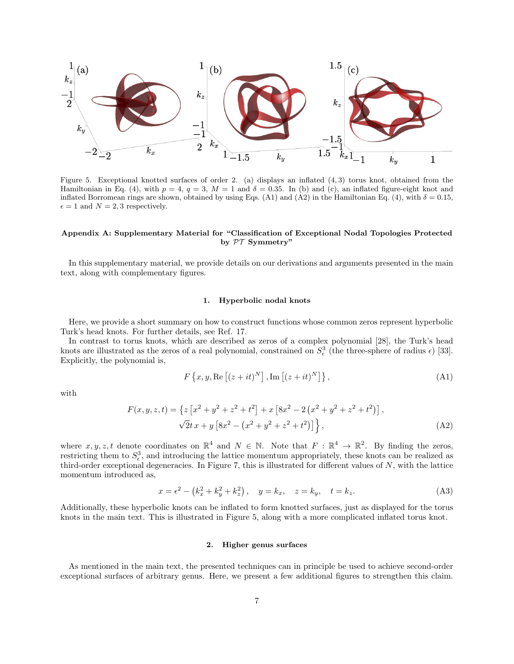

<span id="page-6-2"></span>Figure 5. Exceptional knotted surfaces of order 2. (a) displays an inflated  $(4,3)$  torus knot, obtained from the Hamiltonian in Eq. [\(4\)](#page-1-0), with  $p = 4$ ,  $q = 3$ ,  $M = 1$  and  $\delta = 0.35$ . In (b) and (c), an inflated figure-eight knot and inflated Borromean rings are shown, obtained by using Eqs. [\(A1\)](#page-6-0) and [\(A2\)](#page-6-1) in the Hamiltonian Eq. [\(4\)](#page-1-0), with  $\delta = 0.15$ ,  $\epsilon = 1$  and  $N = 2, 3$  respectively.

### Appendix A: Supplementary Material for "Classification of Exceptional Nodal Topologies Protected by PT Symmetry"

In this supplementary material, we provide details on our derivations and arguments presented in the main text, along with complementary figures.

### 1. Hyperbolic nodal knots

Here, we provide a short summary on how to construct functions whose common zeros represent hyperbolic Turk's head knots. For further details, see Ref. [17.](#page-4-14)

In contrast to torus knots, which are described as zeros of a complex polynomial [\[28\]](#page-5-2), the Turk's head knots are illustrated as the zeros of a real polynomial, constrained on  $S^3_{\epsilon}$  (the three-sphere of radius  $\epsilon$ ) [\[33\]](#page-5-7). Explicitly, the polynomial is,

<span id="page-6-1"></span><span id="page-6-0"></span>
$$
F\left\{x, y, \operatorname{Re}\left[\left(z+it\right)^{N}\right], \operatorname{Im}\left[\left(z+it\right)^{N}\right]\right\},\tag{A1}
$$

with

$$
F(x, y, z, t) = \left\{ z \left[ x^2 + y^2 + z^2 + t^2 \right] + x \left[ 8x^2 - 2 \left( x^2 + y^2 + z^2 + t^2 \right) \right],
$$
  

$$
\sqrt{2}t x + y \left[ 8x^2 - \left( x^2 + y^2 + z^2 + t^2 \right) \right] \right\},
$$
 (A2)

where  $x, y, z, t$  denote coordinates on  $\mathbb{R}^4$  and  $N \in \mathbb{N}$ . Note that  $F : \mathbb{R}^4 \to \mathbb{R}^2$ . By finding the zeros, restricting them to  $S_{\epsilon}^3$ , and introducing the lattice momentum appropriately, these knots can be realized as third-order exceptional degeneracies. In Figure [7,](#page-7-0) this is illustrated for different values of  $N$ , with the lattice momentum introduced as,

$$
x = \epsilon^2 - (k_x^2 + k_y^2 + k_z^2), \quad y = k_x, \quad z = k_y, \quad t = k_z.
$$
 (A3)

Additionally, these hyperbolic knots can be inflated to form knotted surfaces, just as displayed for the torus knots in the main text. This is illustrated in Figure [5,](#page-6-2) along with a more complicated inflated torus knot.

### 2. Higher genus surfaces

As mentioned in the main text, the presented techniques can in principle be used to achieve second-order exceptional surfaces of arbitrary genus. Here, we present a few additional figures to strengthen this claim.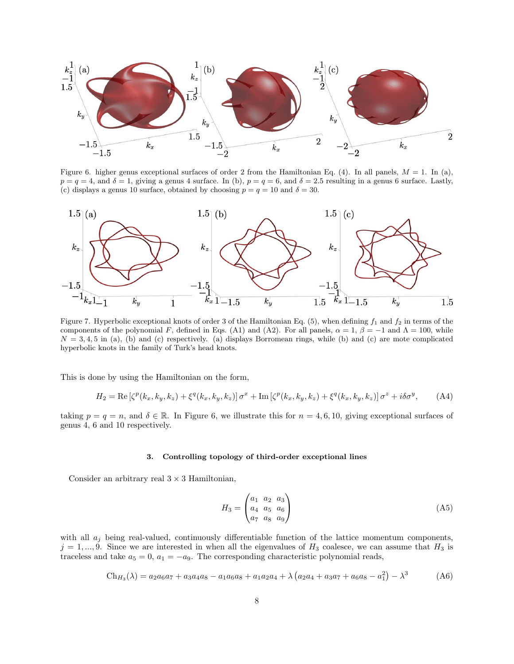

<span id="page-7-1"></span>Figure 6. higher genus exceptional surfaces of order 2 from the Hamiltonian Eq. [\(4\)](#page-1-0). In all panels,  $M = 1$ . In (a),  $p = q = 4$ , and  $\delta = 1$ , giving a genus 4 surface. In (b),  $p = q = 6$ , and  $\delta = 2.5$  resulting in a genus 6 surface. Lastly, (c) displays a genus 10 surface, obtained by choosing  $p = q = 10$  and  $\delta = 30$ .



<span id="page-7-0"></span>components of the polynomial F, defined in Eqs. [\(A1\)](#page-6-0) and [\(A2\)](#page-6-1). For all panels,  $\alpha = 1$ ,  $\beta = -1$  and  $\Lambda = 100$ , while  $N = 3, 4, 5$  in (a), (b) and (c) respectively. (a) displays Borromean rings, while (b) and (c) are mote complicated hyperbolic knots in the family of Turk's head knots.

This is done by using the Hamiltonian on the form,

$$
H_2 = \text{Re}\left[\zeta^p(k_x, k_y, k_z) + \xi^q(k_x, k_y, k_z)\right]\sigma^x + \text{Im}\left[\zeta^p(k_x, k_y, k_z) + \xi^q(k_x, k_y, k_z)\right]\sigma^z + i\delta\sigma^y,\tag{A4}
$$

taking  $p = q = n$ , and  $\delta \in \mathbb{R}$ . In Figure [6,](#page-7-1) we illustrate this for  $n = 4, 6, 10$ , giving exceptional surfaces of genus 4, 6 and 10 respectively.

### 3. Controlling topology of third-order exceptional lines

Consider an arbitrary real  $3 \times 3$  Hamiltonian,

$$
H_3 = \begin{pmatrix} a_1 & a_2 & a_3 \\ a_4 & a_5 & a_6 \\ a_7 & a_8 & a_9 \end{pmatrix}
$$
 (A5)

with all  $a_j$  being real-valued, continuously differentiable function of the lattice momentum components,  $j = 1, ..., 9$ . Since we are interested in when all the eigenvalues of  $H_3$  coalesce, we can assume that  $H_3$  is traceless and take  $a_5 = 0$ ,  $a_1 = -a_9$ . The corresponding characteristic polynomial reads,

$$
Ch_{H_3}(\lambda) = a_2 a_6 a_7 + a_3 a_4 a_8 - a_1 a_6 a_8 + a_1 a_2 a_4 + \lambda \left( a_2 a_4 + a_3 a_7 + a_6 a_8 - a_1^2 \right) - \lambda^3
$$
 (A6)